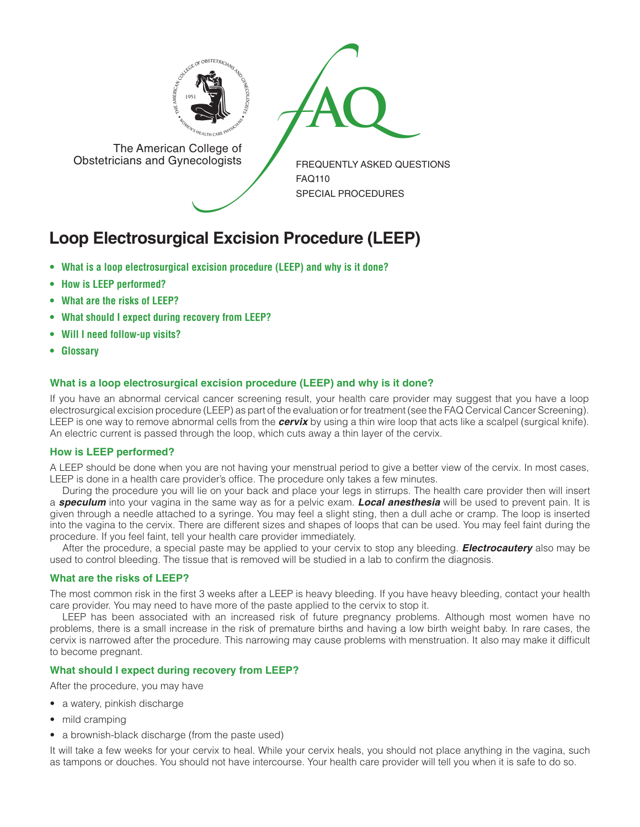

FREQUENTLY ASKED QUESTIONS FAQ110 SPECIAL PROCEDURES The American College of<br>
Obstetricians and Gynecologists

The American College of<br>Obstetricians and Gynecologists

**Loop Electrosurgical Excision Procedure (LEEP)**

- **• What is a loop electrosurgical excision procedure (LEEP) and why is it done?**
- **• How is LEEP performed?**
- **• What are the risks of LEEP?**
- **• What should I expect during recovery from LEEP?**
- **• Will I need follow-up visits?**
- **• Glossary**

## **What is a loop electrosurgical excision procedure (LEEP) and why is it done?**

If you have an abnormal cervical cancer screening result, your health care provider may suggest that you have a loop electrosurgical excision procedure (LEEP) as part of the evaluation or for treatment (see the FAQ Cervical Cancer Screening). LEEP is one way to remove abnormal cells from the *cervix* by using a thin wire loop that acts like a scalpel (surgical knife). An electric current is passed through the loop, which cuts away a thin layer of the cervix.

#### **How is LEEP performed?**

A LEEP should be done when you are not having your menstrual period to give a better view of the cervix. In most cases, LEEP is done in a health care provider's office. The procedure only takes a few minutes.

During the procedure you will lie on your back and place your legs in stirrups. The health care provider then will insert a *speculum* into your vagina in the same way as for a pelvic exam. *Local anesthesia* will be used to prevent pain. It is given through a needle attached to a syringe. You may feel a slight sting, then a dull ache or cramp. The loop is inserted into the vagina to the cervix. There are different sizes and shapes of loops that can be used. You may feel faint during the procedure. If you feel faint, tell your health care provider immediately.

After the procedure, a special paste may be applied to your cervix to stop any bleeding. *Electrocautery* also may be used to control bleeding. The tissue that is removed will be studied in a lab to confirm the diagnosis.

## **What are the risks of LEEP?**

The most common risk in the first 3 weeks after a LEEP is heavy bleeding. If you have heavy bleeding, contact your health care provider. You may need to have more of the paste applied to the cervix to stop it.

LEEP has been associated with an increased risk of future pregnancy problems. Although most women have no problems, there is a small increase in the risk of premature births and having a low birth weight baby. In rare cases, the cervix is narrowed after the procedure. This narrowing may cause problems with menstruation. It also may make it difficult to become pregnant.

## **What should I expect during recovery from LEEP?**

After the procedure, you may have

- a watery, pinkish discharge
- mild cramping
- a brownish-black discharge (from the paste used)

It will take a few weeks for your cervix to heal. While your cervix heals, you should not place anything in the vagina, such as tampons or douches. You should not have intercourse. Your health care provider will tell you when it is safe to do so.